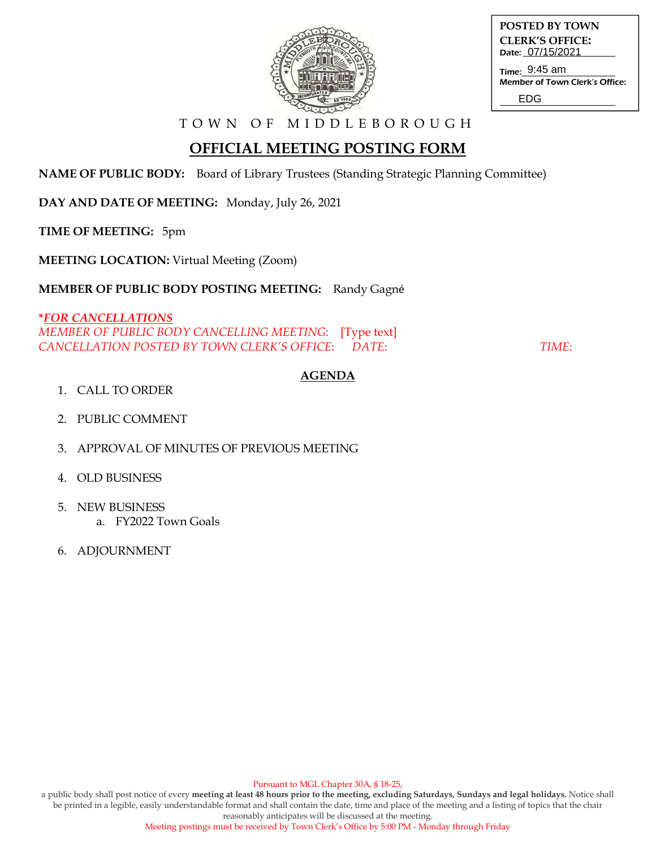

| POSTED BY TOWN         |
|------------------------|
| <b>CLERK'S OFFICE:</b> |
| Date: 07/15/2021       |

Time: 9:45 am Member of Town Clerk's Office: EDG

T O W N O F M I D D L E B O R O U G H

# **OFFICIAL MEETING POSTING FORM**

**NAME OF PUBLIC BODY:** Board of Library Trustees (Standing Strategic Planning Committee)

**DAY AND DATE OF MEETING:** Monday, July 26, 2021

**TIME OF MEETING:** 5pm

**MEETING LOCATION:** Virtual Meeting (Zoom)

**MEMBER OF PUBLIC BODY POSTING MEETING:** Randy Gagné

**\****FOR CANCELLATIONS*

*MEMBER OF PUBLIC BODY CANCELLING MEETING*: [Type text] *CANCELLATION POSTED BY TOWN CLERK'S OFFICE*: *DATE*: *TIME*:

## **AGENDA**

- 1. CALL TO ORDER
- 2. PUBLIC COMMENT
- 3. APPROVAL OF MINUTES OF PREVIOUS MEETING
- 4. OLD BUSINESS
- 5. NEW BUSINESS
	- a. FY2022 Town Goals
- 6. ADJOURNMENT